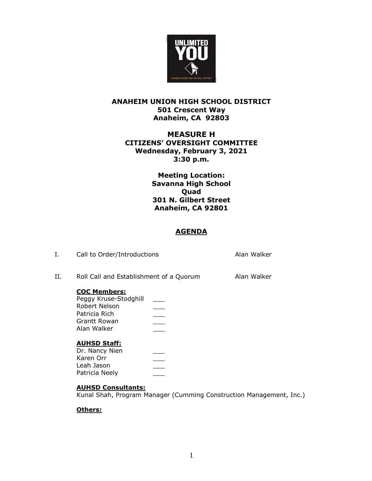

## **ANAHEIM UNION HIGH SCHOOL DISTRICT 501 Crescent Way Anaheim, CA 92803**

# **MEASURE H CITIZENS' OVERSIGHT COMMITTEE Wednesday, February 3, 2021 3:30 p.m.**

**Meeting Location: Savanna High School Quad 301 N. Gilbert Street Anaheim, CA 92801**

# **AGENDA**

| Ι. | Call to Order/Introductions                                                                                     |  | Alan Walker |
|----|-----------------------------------------------------------------------------------------------------------------|--|-------------|
| Н. | Roll Call and Establishment of a Quorum                                                                         |  | Alan Walker |
|    | <b>COC Members:</b><br>Peggy Kruse-Stodghill<br>Robert Nelson<br>Patricia Rich<br>Grantt Rowan<br>Alan Walker   |  |             |
|    | <b>AUHSD Staff:</b><br>Dr. Nancy Nien<br>Karen Orr<br>Leah Jason<br>Patricia Neely<br><b>AUHSD Consultants:</b> |  |             |

Kunal Shah, Program Manager (Cumming Construction Management, Inc.)

### **Others:**